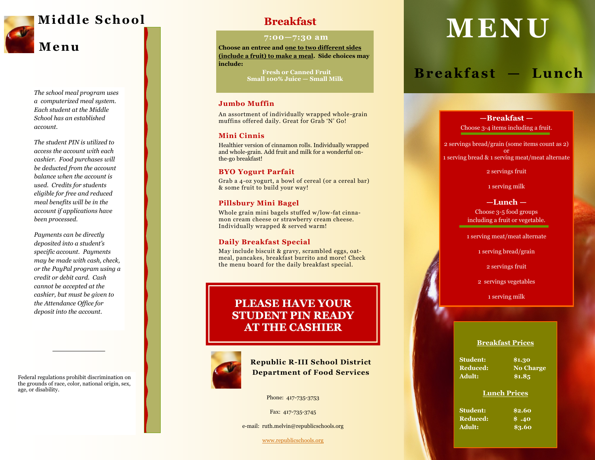

*The school meal program uses a computerized meal system. Each student at the Middle School has an established account.*

*The student PIN is utilized to access the account with each cashier. Food purchases will be deducted from the account balance when the account is used. Credits for students eligible for free and reduced meal benefits will be in the account if applications have been processed.*

*Payments can be directly deposited into a student's specific account. Payments may be made with cash, check, or the PayPal program using a credit or debit card. Cash cannot be accepted at the cashier, but must be given to the Attendance Office for deposit into the account.* 

Federal regulations prohibit discrimination on the grounds of race, color, national origin, sex, age, or disability.

#### **7:00 —7:30 am**

**Choose an entree and one to two different sides (include a fruit) to make a meal. Side choices may include:** 

> **Fresh or Canned Fruit Small 100% Juice — Small Milk**

#### **Jumbo Muffin**

An assortment of individually wrapped whole -grain muffins offered daily. Great for Grab 'N' Go!

#### **Mini Cinnis**

Healthier version of cinnamon rolls. Individually wrapped and whole -grain. Add fruit and milk for a wonderful on the -go breakfast!

#### **BYO Yogurt Parfait**

Grab a 4 -oz yogurt, a bowl of cereal (or a cereal bar) & some fruit to build your way!

#### **Pillsbury Mini Bagel**

Whole grain mini bagels stuffed w/low -fat cinnamon cream cheese or strawberry cream cheese. Individually wrapped & served warm!

#### **Daily Breakfast Special**

May include biscuit & gravy, scrambled eggs, oatmeal, pancakes, breakfast burrito and more! Check the menu board for the daily breakfast special.

# **PLEASE HAVE YOUR STUDENT PIN READY AT THE CASHIER**



**Republic R -III School District Department of Food Services**

Phone: 417 -735 -3753

Fax: 417-735-3745

e -mail: ruth.melvin@republicschools.org

[www.republicschools.org](http://www.republicschools.org/)

# **M E N U**

# **B re ak f ast — Lu nc h**

#### **Breakfast Prices**

### **Lunch Prices**

|                                                 | -Breakfast-             |  |
|-------------------------------------------------|-------------------------|--|
| Choose 3-4 items including a fruit.             |                         |  |
| 2 servings bread/grain (some items count as 2)  |                         |  |
| 1 serving bread & 1 serving meat/meat alternate |                         |  |
|                                                 | 2 servings fruit        |  |
| 1 serving milk                                  |                         |  |
| $-Lunch -$                                      |                         |  |
|                                                 | Choose 3-5 food groups  |  |
| including a fruit or vegetable.                 |                         |  |
| 1 serving meat/meat alternate                   |                         |  |
| 1 serving bread/grain                           |                         |  |
| 2 servings fruit                                |                         |  |
| 2 servings vegetables                           |                         |  |
| 1 serving milk                                  |                         |  |
|                                                 |                         |  |
|                                                 |                         |  |
|                                                 | <b>Breakfast Prices</b> |  |
|                                                 |                         |  |
| <b>Student:</b>                                 | \$1.30                  |  |
| Reduced:                                        | <b>No Charge</b>        |  |
| <b>Adult:</b>                                   | \$1.85                  |  |
|                                                 | <b>Lunch Prices</b>     |  |
| <b>Student:</b>                                 | \$2.60                  |  |
| <b>Reduced:</b>                                 | \$.40                   |  |
| <b>Adult:</b>                                   | \$3.60                  |  |